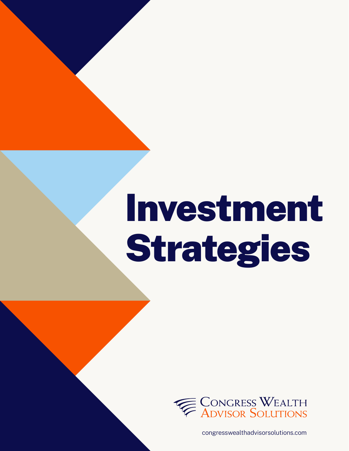# Investment Strategies



congresswealthadvisorsolutions.com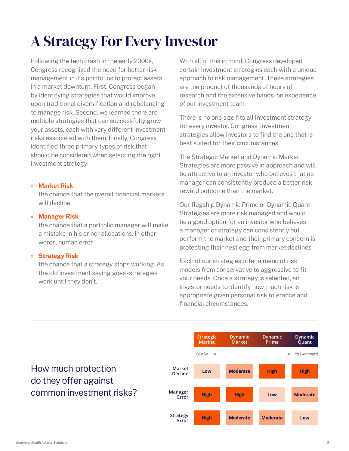# A Strategy For Every Investor

Following the tech crash in the early 2000s, Congress recognized the need for better risk management in it's portfolios to protect assets in a market downturn. First, Congress began by identifying strategies that would improve upon traditional diversification and rebalancing to manage risk. Second, we learned there are multiple strategies that can successfully grow your assets, each with very different investment risks associated with them. Finally, Congress identified three primary types of risk that should be considered when selecting the right investment strategy:

#### » **Market Risk**

the chance that the overall financial markets will decline.

#### » **Manager Risk**

the chance that a portfolio manager will make a mistake in his or her allocations. In other words, human error.

#### » **Strategy Risk**

the chance that a strategy stops working. As the old investment saying goes - strategies work until they don't.

With all of this in mind, Congress developed certain investment strategies each with a unique approach to risk management. These strategies are the product of thousands of hours of research and the extensive hands-on experience of our investment team.

There is no one size fits all investment strategy for every investor. Congress' investment strategies allow investors to find the one that is best suited for their circumstances.

The Strategic Market and Dynamic Market Strategies are more passive in approach and will be attractive to an investor who believes that no manager can consistently produce a better riskreward outcome than the market.

Our flagship Dynamic Prime or Dynamic Quant Strategies are more risk managed and would be a good option for an investor who believes a manager or strategy can consistently out perform the market and their primary concern is protecting their nest egg from market declines.

Each of our strategies offer a menu of risk models from conservative to aggressive to fit your needs. Once a strategy is selected, an investor needs to identify how much risk is appropriate given personal risk tolerance and financial circumstances.



## How much protection do they offer against common investment risks?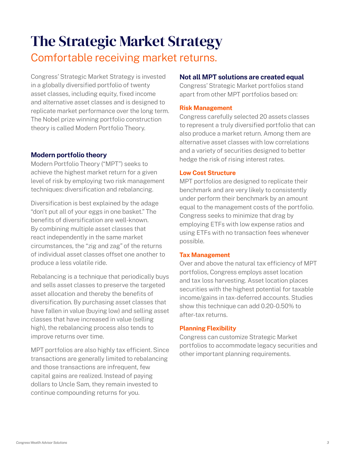# The Strategic Market Strategy Comfortable receiving market returns.

Congress' Strategic Market Strategy is invested in a globally diversified portfolio of twenty asset classes, including equity, fixed income and alternative asset classes and is designed to replicate market performance over the long term. The Nobel prize winning portfolio construction theory is called Modern Portfolio Theory.

#### **Modern portfolio theory**

Modern Portfolio Theory ("MPT") seeks to achieve the highest market return for a given level of risk by employing two risk management techniques: diversification and rebalancing.

Diversification is best explained by the adage "don't put all of your eggs in one basket." The benefits of diversification are well-known. By combining multiple asset classes that react independently in the same market circumstances, the "zig and zag" of the returns of individual asset classes offset one another to produce a less volatile ride.

Rebalancing is a technique that periodically buys and sells asset classes to preserve the targeted asset allocation and thereby the benefits of diversification. By purchasing asset classes that have fallen in value (buying low) and selling asset classes that have increased in value (selling high), the rebalancing process also tends to improve returns over time.

MPT portfolios are also highly tax efficient. Since transactions are generally limited to rebalancing and those transactions are infrequent, few capital gains are realized. Instead of paying dollars to Uncle Sam, they remain invested to continue compounding returns for you.

#### **Not all MPT solutions are created equal**

Congress' Strategic Market portfolios stand apart from other MPT portfolios based on:

#### **Risk Management**

Congress carefully selected 20 assets classes to represent a truly diversified portfolio that can also produce a market return. Among them are alternative asset classes with low correlations and a variety of securities designed to better hedge the risk of rising interest rates.

#### **Low Cost Structure**

MPT portfolios are designed to replicate their benchmark and are very likely to consistently under perform their benchmark by an amount equal to the management costs of the portfolio. Congress seeks to minimize that drag by employing ETFs with low expense ratios and using ETFs with no transaction fees whenever possible.

#### **Tax Management**

Over and above the natural tax efficiency of MPT portfolios, Congress employs asset location and tax loss harvesting. Asset location places securities with the highest potential for taxable income/gains in tax-deferred accounts. Studies show this technique can add 0.20-0.50% to after-tax returns.

#### **Planning Flexibility**

Congress can customize Strategic Market portfolios to accommodate legacy securities and other important planning requirements.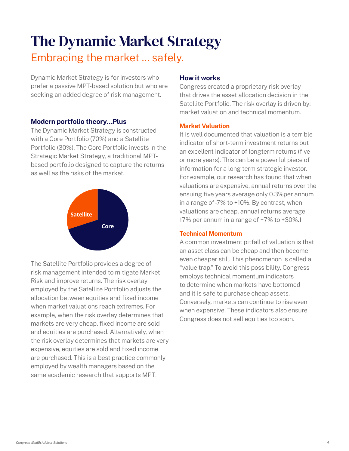# The Dynamic Market Strategy Embracing the market ... safely.

Dynamic Market Strategy is for investors who prefer a passive MPT-based solution but who are seeking an added degree of risk management.

#### **Modern portfolio theory…Plus**

The Dynamic Market Strategy is constructed with a Core Portfolio (70%) and a Satellite Portfolio (30%). The Core Portfolio invests in the Strategic Market Strategy, a traditional MPTbased portfolio designed to capture the returns as well as the risks of the market.



The Satellite Portfolio provides a degree of risk management intended to mitigate Market Risk and improve returns. The risk overlay employed by the Satellite Portfolio adjusts the allocation between equities and fixed income when market valuations reach extremes. For example, when the risk overlay determines that markets are very cheap, fixed income are sold and equities are purchased. Alternatively, when the risk overlay determines that markets are very expensive, equities are sold and fixed income are purchased. This is a best practice commonly employed by wealth managers based on the same academic research that supports MPT.

#### **How it works**

Congress created a proprietary risk overlay that drives the asset allocation decision in the Satellite Portfolio. The risk overlay is driven by: market valuation and technical momentum.

#### **Market Valuation**

It is well documented that valuation is a terrible indicator of short-term investment returns but an excellent indicator of longterm returns (five or more years). This can be a powerful piece of information for a long term strategic investor. For example, our research has found that when valuations are expensive, annual returns over the ensuing five years average only 0.3%per annum in a range of -7% to +10%. By contrast, when valuations are cheap, annual returns average 17% per annum in a range of +7% to +30%.1

#### **Technical Momentum**

A common investment pitfall of valuation is that an asset class can be cheap and then become even cheaper still. This phenomenon is called a "value trap." To avoid this possibility, Congress employs technical momentum indicators to determine when markets have bottomed and it is safe to purchase cheap assets. Conversely, markets can continue to rise even when expensive. These indicators also ensure Congress does not sell equities too soon.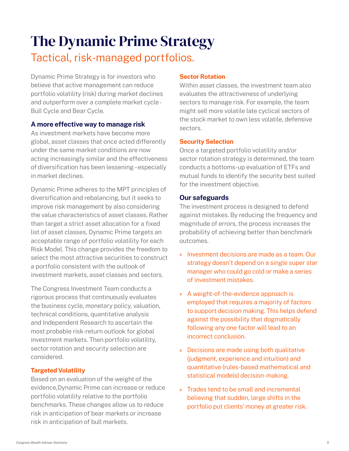# The Dynamic Prime Strategy Tactical, risk-managed portfolios.

Dynamic Prime Strategy is for investors who believe that active management can reduce portfolio volatility (risk) during market declines and outperform over a complete market cycle - Bull Cycle and Bear Cycle.

#### **A more effective way to manage risk**

As investment markets have become more global, asset classes that once acted differently under the same market conditions are now acting increasingly similar and the effectiveness of diversification has been lessening – especially in market declines.

Dynamic Prime adheres to the MPT principles of diversification and rebalancing, but it seeks to improve risk management by also considering the value characteristics of asset classes. Rather than target a strict asset allocation for a fixed list of asset classes, Dynamic Prime targets an acceptable range of portfolio volatility for each Risk Model. This change provides the freedom to select the most attractive securities to construct a portfolio consistent with the outlook of investment markets, asset classes and sectors.

The Congress Investment Team conducts a rigorous process that continuously evaluates the business cycle, monetary policy, valuation, technical conditions, quantitative analysis and Independent Research to ascertain the most probable risk-return outlook for global investment markets. Then portfolio volatility, sector rotation and security selection are considered.

#### **Targeted Volatility**

Based on an evaluation of the weight of the evidence,Dynamic Prime can increase or reduce portfolio volatility relative to the portfolio benchmarks. These changes allow us to reduce risk in anticipation of bear markets or increase risk in anticipation of bull markets.

#### **Sector Rotation**

Within asset classes, the investment team also evaluates the attractiveness of underlying sectors to manage risk. For example, the team might sell more volatile late cyclical sectors of the stock market to own less volatile, defensive sectors.

#### **Security Selection**

Once a targeted portfolio volatility and/or sector rotation strategy is determined, the team conducts a bottoms-up evaluation of ETFs and mutual funds to identify the security best suited for the investment objective.

#### **Our safeguards**

The investment process is designed to defend against mistakes. By reducing the frequency and magnitude of errors, the process increases the probability of achieving better than benchmark outcomes.

- » Investment decisions are made as a team. Our strategy doesn't depend on a single super star manager who could go cold or make a series of investment mistakes.
- » A weight-of-the-evidence approach is employed that requires a majority of factors to support decision making. This helps defend against the possibility that dogmatically following any one factor will lead to an incorrect conclusion.
- » Decisions are made using both qualitative (judgment, experience and intuition) and quantitative (rules-based mathematical and statistical models) decision-making.
- » Trades tend to be small and incremental believing that sudden, large shifts in the portfolio put clients' money at greater risk.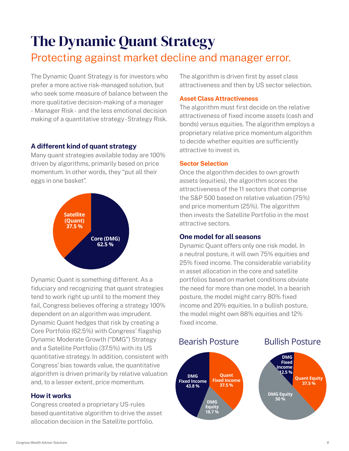# The Dynamic Quant Strategy Protecting against market decline and manager error.

The Dynamic Quant Strategy is for investors who prefer a more active risk-managed solution, but who seek some measure of balance between the more qualitative decision-making of a manager - Manager Risk - and the less emotional decision making of a quantitative strategy - Strategy Risk.

#### **A different kind of quant strategy**

Many quant strategies available today are 100% driven by algorithms, primarily based on price momentum. In other words, they "put all their eggs in one basket".



Dynamic Quant is something different. As a fiduciary and recognizing that quant strategies tend to work right up until to the moment they fail, Congress believes offering a strategy 100% dependent on an algorithm was imprudent. Dynamic Quant hedges that risk by creating a Core Portfolio (62.5%) with Congress' flagship Dynamic Moderate Growth ("DMG") Strategy and a Satellite Portfolio (37.5%) with its US quantitative strategy. In addition, consistent with Congress' bias towards value, the quantitative algorithm is driven primarily by relative valuation and, to a lesser extent, price momentum.

#### **How it works**

Congress created a proprietary US-rules based quantitative algorithm to drive the asset allocation decision in the Satellite portfolio.

The algorithm is driven first by asset class attractiveness and then by US sector selection.

#### **Asset Class Attractiveness**

The algorithm must first decide on the relative attractiveness of fixed income assets (cash and bonds) versus equities. The algorithm employs a proprietary relative price momentum algorithm to decide whether equities are sufficiently attractive to invest in.

#### **Sector Selection**

Once the algorithm decides to own growth assets (equities), the algorithm scores the attractiveness of the 11 sectors that comprise the S&P 500 based on relative valuation (75%) and price momentum (25%). The algorithm then invests the Satellite Portfolio in the most attractive sectors.

#### **One model for all seasons**

Dynamic Quant offers only one risk model. In a neutral posture, it will own 75% equities and 25% fixed income. The considerable variability in asset allocation in the core and satellite portfolios based on market conditions obviate the need for more than one model. In a bearish posture, the model might carry 80% fixed income and 20% equities. In a bullish posture, the model might own 88% equities and 12% fixed income.

#### Bearish Posture



#### Bullish Posture

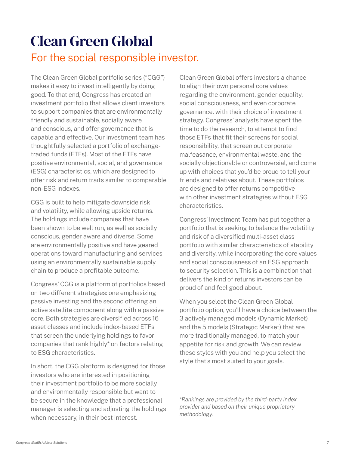# Clean Green Global For the social responsible investor.

The Clean Green Global portfolio series ("CGG") makes it easy to invest intelligently by doing good. To that end, Congress has created an investment portfolio that allows client investors to support companies that are environmentally friendly and sustainable, socially aware and conscious, and offer governance that is capable and effective. Our investment team has thoughtfully selected a portfolio of exchangetraded funds (ETFs). Most of the ETFs have positive environmental, social, and governance (ESG) characteristics, which are designed to offer risk and return traits similar to comparable non-ESG indexes.

CGG is built to help mitigate downside risk and volatility, while allowing upside returns. The holdings include companies that have been shown to be well run, as well as socially conscious, gender aware and diverse. Some are environmentally positive and have geared operations toward manufacturing and services using an environmentally sustainable supply chain to produce a profitable outcome.

Congress' CGG is a platform of portfolios based on two different strategies: one emphasizing passive investing and the second offering an active satellite component along with a passive core. Both strategies are diversified across 16 asset classes and include index-based ETFs that screen the underlying holdings to favor companies that rank highly\* on factors relating to ESG characteristics.

In short, the CGG platform is designed for those investors who are interested in positioning their investment portfolio to be more socially and environmentally responsible but want to be secure in the knowledge that a professional manager is selecting and adjusting the holdings when necessary, in their best interest.

Clean Green Global offers investors a chance to align their own personal core values regarding the environment, gender equality, social consciousness, and even corporate governance, with their choice of investment strategy. Congress' analysts have spent the time to do the research, to attempt to find those ETFs that fit their screens for social responsibility, that screen out corporate malfeasance, environmental waste, and the socially objectionable or controversial, and come up with choices that you'd be proud to tell your friends and relatives about. These portfolios are designed to offer returns competitive with other investment strategies without ESG characteristics.

Congress' Investment Team has put together a portfolio that is seeking to balance the volatility and risk of a diversified multi-asset class portfolio with similar characteristics of stability and diversity, while incorporating the core values and social consciousness of an ESG approach to security selection. This is a combination that delivers the kind of returns investors can be proud of and feel good about.

When you select the Clean Green Global portfolio option, you'll have a choice between the 3 actively managed models (Dynamic Market) and the 5 models (Strategic Market) that are more traditionally managed, to match your appetite for risk and growth. We can review these styles with you and help you select the style that's most suited to your goals.

*\*Rankings are provided by the third-party index provider and based on their unique proprietary methodology.*